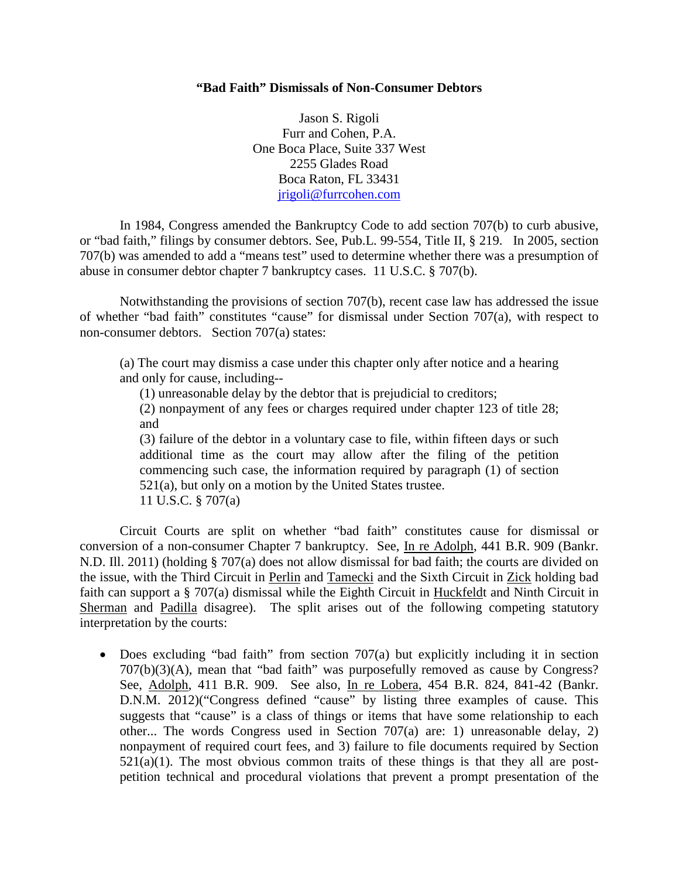## **"Bad Faith" Dismissals of Non-Consumer Debtors**

Jason S. Rigoli Furr and Cohen, P.A. One Boca Place, Suite 337 West 2255 Glades Road Boca Raton, FL 33431 [jrigoli@furrcohen.com](mailto:jrigoli@furrcohen.com)

In 1984, Congress amended the Bankruptcy Code to add section 707(b) to curb abusive, or "bad faith," filings by consumer debtors. See, Pub.L. 99-554, Title II, § 219. In 2005, section 707(b) was amended to add a "means test" used to determine whether there was a presumption of abuse in consumer debtor chapter 7 bankruptcy cases. 11 U.S.C. § 707(b).

Notwithstanding the provisions of section 707(b), recent case law has addressed the issue of whether "bad faith" constitutes "cause" for dismissal under Section 707(a), with respect to non-consumer debtors. Section 707(a) states:

(a) The court may dismiss a case under this chapter only after notice and a hearing and only for cause, including--

(1) unreasonable delay by the debtor that is prejudicial to creditors;

(2) nonpayment of any fees or charges required under chapter 123 of title 28; and

(3) failure of the debtor in a voluntary case to file, within fifteen days or such additional time as the court may allow after the filing of the petition commencing such case, the information required by paragraph (1) of section 521(a), but only on a motion by the United States trustee. 11 U.S.C. § 707(a)

Circuit Courts are split on whether "bad faith" constitutes cause for dismissal or conversion of a non-consumer Chapter 7 bankruptcy. See, In re Adolph, 441 B.R. 909 (Bankr. N.D. Ill. 2011) (holding § 707(a) does not allow dismissal for bad faith; the courts are divided on the issue, with the Third Circuit in Perlin and Tamecki and the Sixth Circuit in Zick holding bad faith can support a § 707(a) dismissal while the Eighth Circuit in Huckfeldt and Ninth Circuit in Sherman and Padilla disagree). The split arises out of the following competing statutory interpretation by the courts:

• Does excluding "bad faith" from section 707(a) but explicitly including it in section 707(b)(3)(A), mean that "bad faith" was purposefully removed as cause by Congress? See, Adolph, 411 B.R. 909. See also, In re Lobera, 454 B.R. 824, 841-42 (Bankr. D.N.M. 2012)("Congress defined "cause" by listing three examples of cause. This suggests that "cause" is a class of things or items that have some relationship to each other... The words Congress used in Section 707(a) are: 1) unreasonable delay, 2) nonpayment of required court fees, and 3) failure to file documents required by Section  $521(a)(1)$ . The most obvious common traits of these things is that they all are postpetition technical and procedural violations that prevent a prompt presentation of the